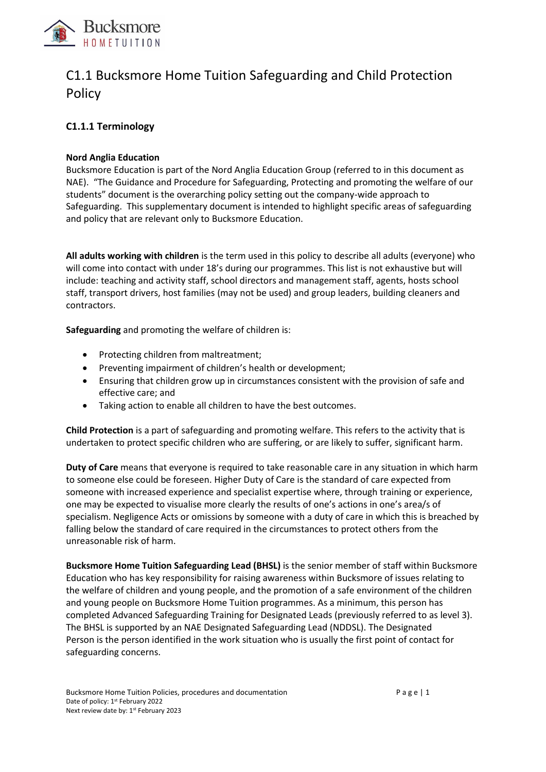

# C1.1 Bucksmore Home Tuition Safeguarding and Child Protection Policy

# **C1.1.1 Terminology**

### **Nord Anglia Education**

Bucksmore Education is part of the Nord Anglia Education Group (referred to in this document as NAE). "The Guidance and Procedure for Safeguarding, Protecting and promoting the welfare of our students" document is the overarching policy setting out the company-wide approach to Safeguarding. This supplementary document is intended to highlight specific areas of safeguarding and policy that are relevant only to Bucksmore Education.

**All adults working with children** is the term used in this policy to describe all adults (everyone) who will come into contact with under 18's during our programmes. This list is not exhaustive but will include: teaching and activity staff, school directors and management staff, agents, hosts school staff, transport drivers, host families (may not be used) and group leaders, building cleaners and contractors.

**Safeguarding** and promoting the welfare of children is:

- Protecting children from maltreatment;
- Preventing impairment of children's health or development;
- Ensuring that children grow up in circumstances consistent with the provision of safe and effective care; and
- Taking action to enable all children to have the best outcomes.

**Child Protection** is a part of safeguarding and promoting welfare. This refers to the activity that is undertaken to protect specific children who are suffering, or are likely to suffer, significant harm.

**Duty of Care** means that everyone is required to take reasonable care in any situation in which harm to someone else could be foreseen. Higher Duty of Care is the standard of care expected from someone with increased experience and specialist expertise where, through training or experience, one may be expected to visualise more clearly the results of one's actions in one's area/s of specialism. Negligence Acts or omissions by someone with a duty of care in which this is breached by falling below the standard of care required in the circumstances to protect others from the unreasonable risk of harm.

**Bucksmore Home Tuition Safeguarding Lead (BHSL)** is the senior member of staff within Bucksmore Education who has key responsibility for raising awareness within Bucksmore of issues relating to the welfare of children and young people, and the promotion of a safe environment of the children and young people on Bucksmore Home Tuition programmes. As a minimum, this person has completed Advanced Safeguarding Training for Designated Leads (previously referred to as level 3). The BHSL is supported by an NAE Designated Safeguarding Lead (NDDSL). The Designated Person is the person identified in the work situation who is usually the first point of contact for safeguarding concerns.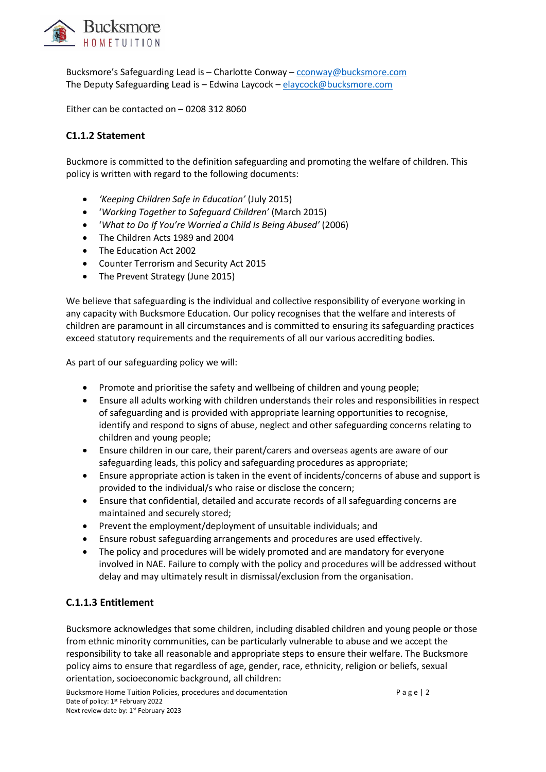

Bucksmore's Safeguarding Lead is – Charlotte Conway – [cconway@bucksmore.com](mailto:cconway@bucksmore.com) The Deputy Safeguarding Lead is - Edwina Laycock - [elaycock@bucksmore.com](mailto:elaycock@bucksmore.com)

Either can be contacted on – 0208 312 8060

# **C1.1.2 Statement**

Buckmore is committed to the definition safeguarding and promoting the welfare of children. This policy is written with regard to the following documents:

- *'Keeping Children Safe in Education'* (July 2015)
- '*Working Together to Safeguard Children'* (March 2015)
- '*What to Do If You're Worried a Child Is Being Abused'* (2006)
- The Children Acts 1989 and 2004
- The Education Act 2002
- Counter Terrorism and Security Act 2015
- The Prevent Strategy (June 2015)

We believe that safeguarding is the individual and collective responsibility of everyone working in any capacity with Bucksmore Education. Our policy recognises that the welfare and interests of children are paramount in all circumstances and is committed to ensuring its safeguarding practices exceed statutory requirements and the requirements of all our various accrediting bodies.

As part of our safeguarding policy we will:

- Promote and prioritise the safety and wellbeing of children and young people;
- Ensure all adults working with children understands their roles and responsibilities in respect of safeguarding and is provided with appropriate learning opportunities to recognise, identify and respond to signs of abuse, neglect and other safeguarding concerns relating to children and young people;
- Ensure children in our care, their parent/carers and overseas agents are aware of our safeguarding leads, this policy and safeguarding procedures as appropriate;
- Ensure appropriate action is taken in the event of incidents/concerns of abuse and support is provided to the individual/s who raise or disclose the concern;
- Ensure that confidential, detailed and accurate records of all safeguarding concerns are maintained and securely stored;
- Prevent the employment/deployment of unsuitable individuals; and
- Ensure robust safeguarding arrangements and procedures are used effectively.
- The policy and procedures will be widely promoted and are mandatory for everyone involved in NAE. Failure to comply with the policy and procedures will be addressed without delay and may ultimately result in dismissal/exclusion from the organisation.

### **C.1.1.3 Entitlement**

Bucksmore acknowledges that some children, including disabled children and young people or those from ethnic minority communities, can be particularly vulnerable to abuse and we accept the responsibility to take all reasonable and appropriate steps to ensure their welfare. The Bucksmore policy aims to ensure that regardless of age, gender, race, ethnicity, religion or beliefs, sexual orientation, socioeconomic background, all children:

Bucksmore Home Tuition Policies, procedures and documentation example a g e | 2 Date of policy: 1<sup>st</sup> February 2022 Next review date by: 1st February 2023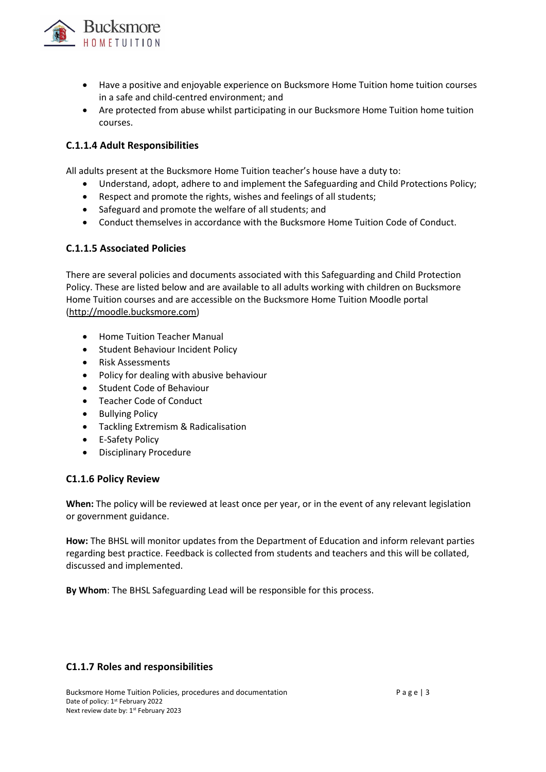

- Have a positive and enjoyable experience on Bucksmore Home Tuition home tuition courses in a safe and child-centred environment; and
- Are protected from abuse whilst participating in our Bucksmore Home Tuition home tuition courses.

### **C.1.1.4 Adult Responsibilities**

All adults present at the Bucksmore Home Tuition teacher's house have a duty to:

- Understand, adopt, adhere to and implement the Safeguarding and Child Protections Policy;
- Respect and promote the rights, wishes and feelings of all students;
- Safeguard and promote the welfare of all students; and
- Conduct themselves in accordance with the Bucksmore Home Tuition Code of Conduct.

### **C.1.1.5 Associated Policies**

There are several policies and documents associated with this Safeguarding and Child Protection Policy. These are listed below and are available to all adults working with children on Bucksmore Home Tuition courses and are accessible on the Bucksmore Home Tuition Moodle portal [\(http://moodle.bucksmore.com\)](http://moodle.bucksmore.com/)

- Home Tuition Teacher Manual
- Student Behaviour Incident Policy
- Risk Assessments
- Policy for dealing with abusive behaviour
- Student Code of Behaviour
- Teacher Code of Conduct
- Bullying Policy
- Tackling Extremism & Radicalisation
- E-Safety Policy
- Disciplinary Procedure

### **C1.1.6 Policy Review**

**When:** The policy will be reviewed at least once per year, or in the event of any relevant legislation or government guidance.

**How:** The BHSL will monitor updates from the Department of Education and inform relevant parties regarding best practice. Feedback is collected from students and teachers and this will be collated, discussed and implemented.

**By Whom**: The BHSL Safeguarding Lead will be responsible for this process.

### **C1.1.7 Roles and responsibilities**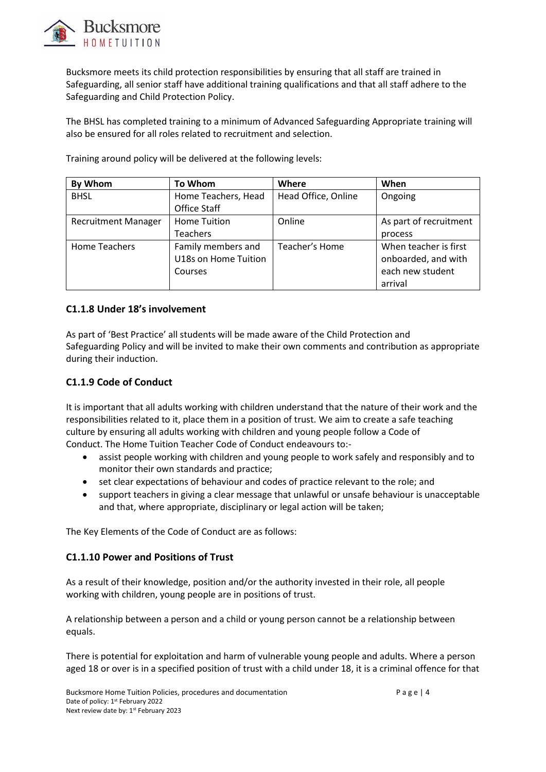

Bucksmore meets its child protection responsibilities by ensuring that all staff are trained in Safeguarding, all senior staff have additional training qualifications and that all staff adhere to the Safeguarding and Child Protection Policy.

The BHSL has completed training to a minimum of Advanced Safeguarding Appropriate training will also be ensured for all roles related to recruitment and selection.

| By Whom                    | <b>To Whom</b>                                        | Where               | When                                                                        |
|----------------------------|-------------------------------------------------------|---------------------|-----------------------------------------------------------------------------|
| <b>BHSL</b>                | Home Teachers, Head<br><b>Office Staff</b>            | Head Office, Online | Ongoing                                                                     |
| <b>Recruitment Manager</b> | <b>Home Tuition</b><br><b>Teachers</b>                | Online              | As part of recruitment<br>process                                           |
| <b>Home Teachers</b>       | Family members and<br>U18s on Home Tuition<br>Courses | Teacher's Home      | When teacher is first<br>onboarded, and with<br>each new student<br>arrival |

Training around policy will be delivered at the following levels:

### **C1.1.8 Under 18's involvement**

As part of 'Best Practice' all students will be made aware of the Child Protection and Safeguarding Policy and will be invited to make their own comments and contribution as appropriate during their induction.

### **C1.1.9 Code of Conduct**

It is important that all adults working with children understand that the nature of their work and the responsibilities related to it, place them in a position of trust. We aim to create a safe teaching culture by ensuring all adults working with children and young people follow a Code of Conduct. The Home Tuition Teacher Code of Conduct endeavours to:-

- assist people working with children and young people to work safely and responsibly and to monitor their own standards and practice;
- set clear expectations of behaviour and codes of practice relevant to the role; and
- support teachers in giving a clear message that unlawful or unsafe behaviour is unacceptable and that, where appropriate, disciplinary or legal action will be taken;

The Key Elements of the Code of Conduct are as follows:

### **C1.1.10 Power and Positions of Trust**

As a result of their knowledge, position and/or the authority invested in their role, all people working with children, young people are in positions of trust.

A relationship between a person and a child or young person cannot be a relationship between equals.

There is potential for exploitation and harm of vulnerable young people and adults. Where a person aged 18 or over is in a specified position of trust with a child under 18, it is a criminal offence for that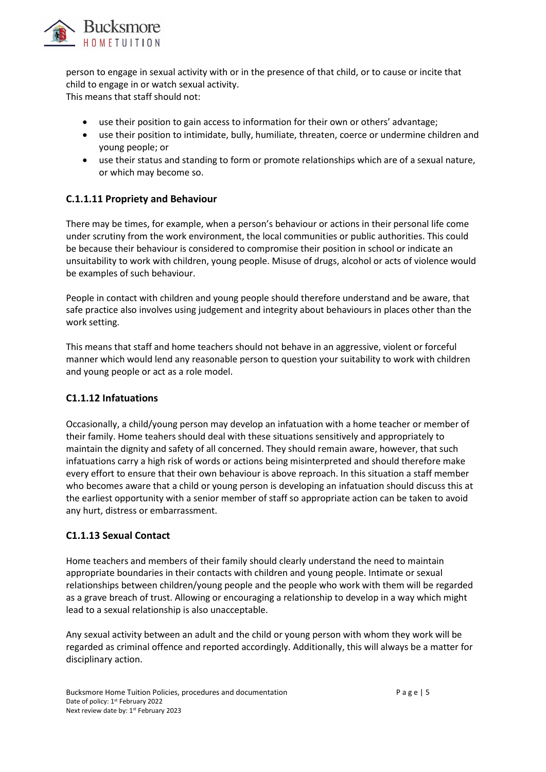

person to engage in sexual activity with or in the presence of that child, or to cause or incite that child to engage in or watch sexual activity. This means that staff should not:

- use their position to gain access to information for their own or others' advantage;
- use their position to intimidate, bully, humiliate, threaten, coerce or undermine children and young people; or
- use their status and standing to form or promote relationships which are of a sexual nature, or which may become so.

### **C.1.1.11 Propriety and Behaviour**

There may be times, for example, when a person's behaviour or actions in their personal life come under scrutiny from the work environment, the local communities or public authorities. This could be because their behaviour is considered to compromise their position in school or indicate an unsuitability to work with children, young people. Misuse of drugs, alcohol or acts of violence would be examples of such behaviour.

People in contact with children and young people should therefore understand and be aware, that safe practice also involves using judgement and integrity about behaviours in places other than the work setting.

This means that staff and home teachers should not behave in an aggressive, violent or forceful manner which would lend any reasonable person to question your suitability to work with children and young people or act as a role model.

### **C1.1.12 Infatuations**

Occasionally, a child/young person may develop an infatuation with a home teacher or member of their family. Home teahers should deal with these situations sensitively and appropriately to maintain the dignity and safety of all concerned. They should remain aware, however, that such infatuations carry a high risk of words or actions being misinterpreted and should therefore make every effort to ensure that their own behaviour is above reproach. In this situation a staff member who becomes aware that a child or young person is developing an infatuation should discuss this at the earliest opportunity with a senior member of staff so appropriate action can be taken to avoid any hurt, distress or embarrassment.

### **C1.1.13 Sexual Contact**

Home teachers and members of their family should clearly understand the need to maintain appropriate boundaries in their contacts with children and young people. Intimate or sexual relationships between children/young people and the people who work with them will be regarded as a grave breach of trust. Allowing or encouraging a relationship to develop in a way which might lead to a sexual relationship is also unacceptable.

Any sexual activity between an adult and the child or young person with whom they work will be regarded as criminal offence and reported accordingly. Additionally, this will always be a matter for disciplinary action.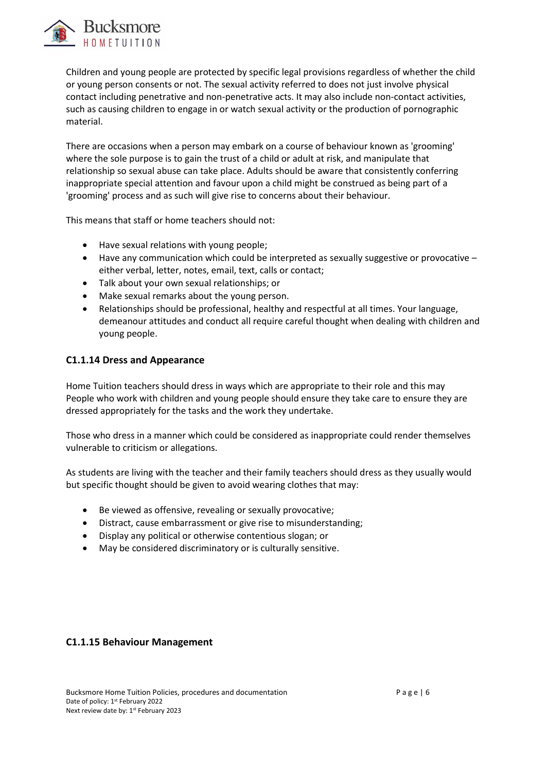

Children and young people are protected by specific legal provisions regardless of whether the child or young person consents or not. The sexual activity referred to does not just involve physical contact including penetrative and non-penetrative acts. It may also include non-contact activities, such as causing children to engage in or watch sexual activity or the production of pornographic material.

There are occasions when a person may embark on a course of behaviour known as 'grooming' where the sole purpose is to gain the trust of a child or adult at risk, and manipulate that relationship so sexual abuse can take place. Adults should be aware that consistently conferring inappropriate special attention and favour upon a child might be construed as being part of a 'grooming' process and as such will give rise to concerns about their behaviour.

This means that staff or home teachers should not:

- Have sexual relations with young people;
- Have any communication which could be interpreted as sexually suggestive or provocative either verbal, letter, notes, email, text, calls or contact;
- Talk about your own sexual relationships; or
- Make sexual remarks about the young person.
- Relationships should be professional, healthy and respectful at all times. Your language, demeanour attitudes and conduct all require careful thought when dealing with children and young people.

### **C1.1.14 Dress and Appearance**

Home Tuition teachers should dress in ways which are appropriate to their role and this may People who work with children and young people should ensure they take care to ensure they are dressed appropriately for the tasks and the work they undertake.

Those who dress in a manner which could be considered as inappropriate could render themselves vulnerable to criticism or allegations.

As students are living with the teacher and their family teachers should dress as they usually would but specific thought should be given to avoid wearing clothes that may:

- Be viewed as offensive, revealing or sexually provocative;
- Distract, cause embarrassment or give rise to misunderstanding;
- Display any political or otherwise contentious slogan; or
- May be considered discriminatory or is culturally sensitive.

### **C1.1.15 Behaviour Management**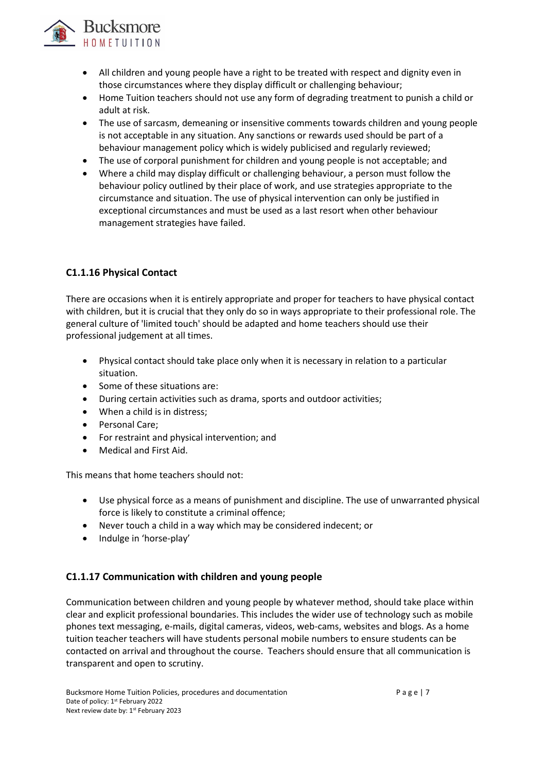

- All children and young people have a right to be treated with respect and dignity even in those circumstances where they display difficult or challenging behaviour;
- Home Tuition teachers should not use any form of degrading treatment to punish a child or adult at risk.
- The use of sarcasm, demeaning or insensitive comments towards children and young people is not acceptable in any situation. Any sanctions or rewards used should be part of a behaviour management policy which is widely publicised and regularly reviewed;
- The use of corporal punishment for children and young people is not acceptable; and
- Where a child may display difficult or challenging behaviour, a person must follow the behaviour policy outlined by their place of work, and use strategies appropriate to the circumstance and situation. The use of physical intervention can only be justified in exceptional circumstances and must be used as a last resort when other behaviour management strategies have failed.

# **C1.1.16 Physical Contact**

There are occasions when it is entirely appropriate and proper for teachers to have physical contact with children, but it is crucial that they only do so in ways appropriate to their professional role. The general culture of 'limited touch' should be adapted and home teachers should use their professional judgement at all times.

- Physical contact should take place only when it is necessary in relation to a particular situation.
- Some of these situations are:
- During certain activities such as drama, sports and outdoor activities;
- When a child is in distress;
- Personal Care;
- For restraint and physical intervention; and
- Medical and First Aid.

This means that home teachers should not:

- Use physical force as a means of punishment and discipline. The use of unwarranted physical force is likely to constitute a criminal offence;
- Never touch a child in a way which may be considered indecent; or
- Indulge in 'horse-play'

### **C1.1.17 Communication with children and young people**

Communication between children and young people by whatever method, should take place within clear and explicit professional boundaries. This includes the wider use of technology such as mobile phones text messaging, e-mails, digital cameras, videos, web-cams, websites and blogs. As a home tuition teacher teachers will have students personal mobile numbers to ensure students can be contacted on arrival and throughout the course. Teachers should ensure that all communication is transparent and open to scrutiny.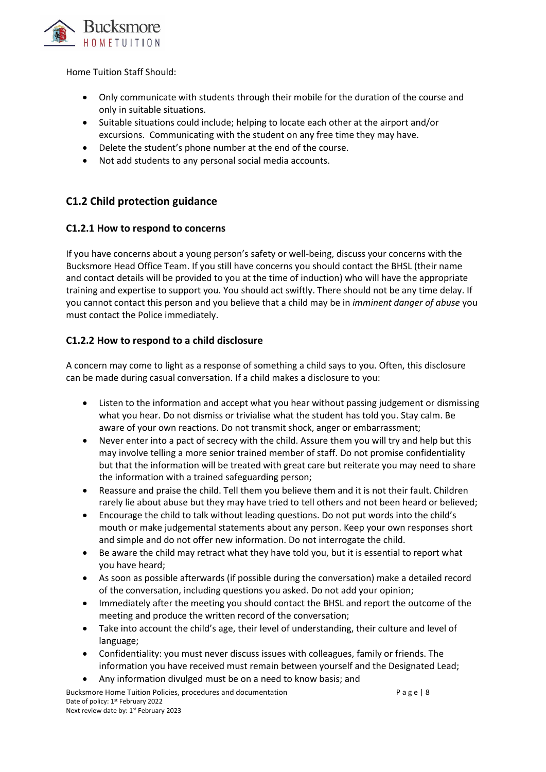

Home Tuition Staff Should:

- Only communicate with students through their mobile for the duration of the course and only in suitable situations.
- Suitable situations could include; helping to locate each other at the airport and/or excursions. Communicating with the student on any free time they may have.
- Delete the student's phone number at the end of the course.
- Not add students to any personal social media accounts.

# **C1.2 Child protection guidance**

### **C1.2.1 How to respond to concerns**

If you have concerns about a young person's safety or well-being, discuss your concerns with the Bucksmore Head Office Team. If you still have concerns you should contact the BHSL (their name and contact details will be provided to you at the time of induction) who will have the appropriate training and expertise to support you. You should act swiftly. There should not be any time delay. If you cannot contact this person and you believe that a child may be in *imminent danger of abuse* you must contact the Police immediately.

### **C1.2.2 How to respond to a child disclosure**

A concern may come to light as a response of something a child says to you. Often, this disclosure can be made during casual conversation. If a child makes a disclosure to you:

- Listen to the information and accept what you hear without passing judgement or dismissing what you hear. Do not dismiss or trivialise what the student has told you. Stay calm. Be aware of your own reactions. Do not transmit shock, anger or embarrassment;
- Never enter into a pact of secrecy with the child. Assure them you will try and help but this may involve telling a more senior trained member of staff. Do not promise confidentiality but that the information will be treated with great care but reiterate you may need to share the information with a trained safeguarding person;
- Reassure and praise the child. Tell them you believe them and it is not their fault. Children rarely lie about abuse but they may have tried to tell others and not been heard or believed;
- Encourage the child to talk without leading questions. Do not put words into the child's mouth or make judgemental statements about any person. Keep your own responses short and simple and do not offer new information. Do not interrogate the child.
- Be aware the child may retract what they have told you, but it is essential to report what you have heard;
- As soon as possible afterwards (if possible during the conversation) make a detailed record of the conversation, including questions you asked. Do not add your opinion;
- Immediately after the meeting you should contact the BHSL and report the outcome of the meeting and produce the written record of the conversation;
- Take into account the child's age, their level of understanding, their culture and level of language;
- Confidentiality: you must never discuss issues with colleagues, family or friends. The information you have received must remain between yourself and the Designated Lead;
- Any information divulged must be on a need to know basis; and

Bucksmore Home Tuition Policies, procedures and documentation example and  $P$  a g e | 8 Date of policy: 1<sup>st</sup> February 2022 Next review date by: 1st February 2023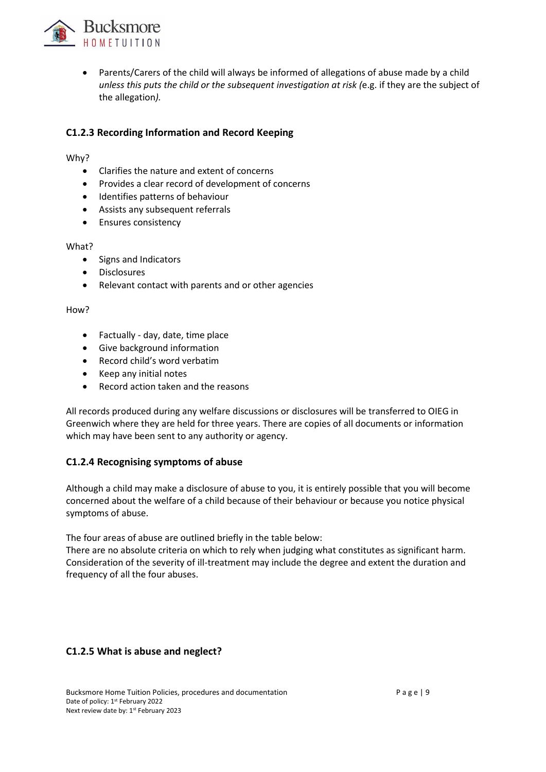

• Parents/Carers of the child will always be informed of allegations of abuse made by a child *unless this puts the child or the subsequent investigation at risk (*e.g. if they are the subject of the allegation*).*

# **C1.2.3 Recording Information and Record Keeping**

Why?

- Clarifies the nature and extent of concerns
- Provides a clear record of development of concerns
- Identifies patterns of behaviour
- Assists any subsequent referrals
- Ensures consistency

#### What?

- Signs and Indicators
- Disclosures
- Relevant contact with parents and or other agencies

#### How?

- Factually day, date, time place
- Give background information
- Record child's word verbatim
- Keep any initial notes
- Record action taken and the reasons

All records produced during any welfare discussions or disclosures will be transferred to OIEG in Greenwich where they are held for three years. There are copies of all documents or information which may have been sent to any authority or agency.

### **C1.2.4 Recognising symptoms of abuse**

Although a child may make a disclosure of abuse to you, it is entirely possible that you will become concerned about the welfare of a child because of their behaviour or because you notice physical symptoms of abuse.

The four areas of abuse are outlined briefly in the table below:

There are no absolute criteria on which to rely when judging what constitutes as significant harm. Consideration of the severity of ill-treatment may include the degree and extent the duration and frequency of all the four abuses.

### **C1.2.5 What is abuse and neglect?**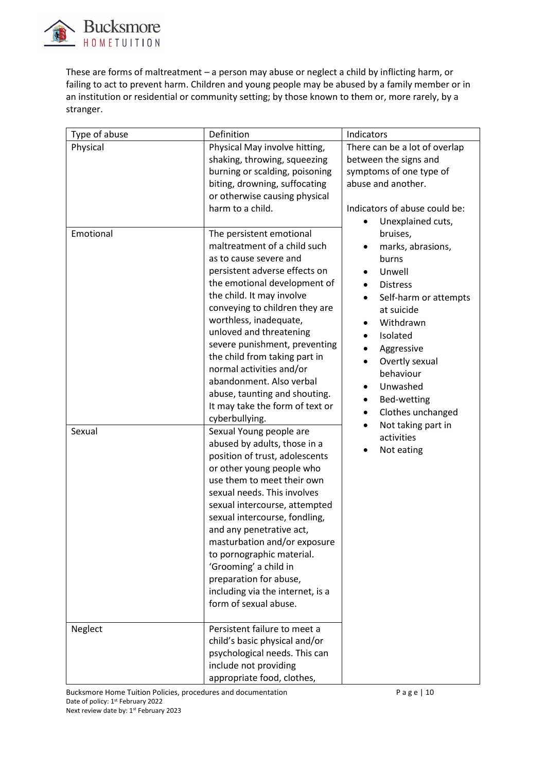

These are forms of maltreatment – a person may abuse or neglect a child by inflicting harm, or failing to act to prevent harm. Children and young people may be abused by a family member or in an institution or residential or community setting; by those known to them or, more rarely, by a stranger.

| Type of abuse | Definition                                                                                                                                                                                                                                                                                                                                                                                                                                                     | Indicators                                                                                                                                                                                                                             |
|---------------|----------------------------------------------------------------------------------------------------------------------------------------------------------------------------------------------------------------------------------------------------------------------------------------------------------------------------------------------------------------------------------------------------------------------------------------------------------------|----------------------------------------------------------------------------------------------------------------------------------------------------------------------------------------------------------------------------------------|
| Physical      | Physical May involve hitting,                                                                                                                                                                                                                                                                                                                                                                                                                                  | There can be a lot of overlap                                                                                                                                                                                                          |
|               | shaking, throwing, squeezing                                                                                                                                                                                                                                                                                                                                                                                                                                   | between the signs and                                                                                                                                                                                                                  |
|               | burning or scalding, poisoning<br>biting, drowning, suffocating                                                                                                                                                                                                                                                                                                                                                                                                | symptoms of one type of<br>abuse and another.                                                                                                                                                                                          |
|               | or otherwise causing physical                                                                                                                                                                                                                                                                                                                                                                                                                                  |                                                                                                                                                                                                                                        |
| Emotional     | harm to a child.<br>The persistent emotional<br>maltreatment of a child such                                                                                                                                                                                                                                                                                                                                                                                   | Indicators of abuse could be:<br>Unexplained cuts,<br>bruises,<br>marks, abrasions,                                                                                                                                                    |
|               | as to cause severe and<br>persistent adverse effects on<br>the emotional development of<br>the child. It may involve<br>conveying to children they are<br>worthless, inadequate,<br>unloved and threatening<br>severe punishment, preventing<br>the child from taking part in<br>normal activities and/or<br>abandonment. Also verbal<br>abuse, taunting and shouting.<br>It may take the form of text or<br>cyberbullying.                                    | burns<br>Unwell<br><b>Distress</b><br>Self-harm or attempts<br>at suicide<br>Withdrawn<br>Isolated<br>Aggressive<br>$\bullet$<br>Overtly sexual<br>behaviour<br>Unwashed<br>Bed-wetting<br>$\bullet$<br>Clothes unchanged<br>$\bullet$ |
| Sexual        | Sexual Young people are<br>abused by adults, those in a<br>position of trust, adolescents<br>or other young people who<br>use them to meet their own<br>sexual needs. This involves<br>sexual intercourse, attempted<br>sexual intercourse, fondling,<br>and any penetrative act,<br>masturbation and/or exposure<br>to pornographic material.<br>'Grooming' a child in<br>preparation for abuse,<br>including via the internet, is a<br>form of sexual abuse. | Not taking part in<br>$\bullet$<br>activities<br>Not eating                                                                                                                                                                            |
| Neglect       | Persistent failure to meet a<br>child's basic physical and/or<br>psychological needs. This can<br>include not providing<br>appropriate food, clothes,                                                                                                                                                                                                                                                                                                          |                                                                                                                                                                                                                                        |

Bucksmore Home Tuition Policies, procedures and documentation **Page | 10** P a g e | 10 Date of policy: 1<sup>st</sup> February 2022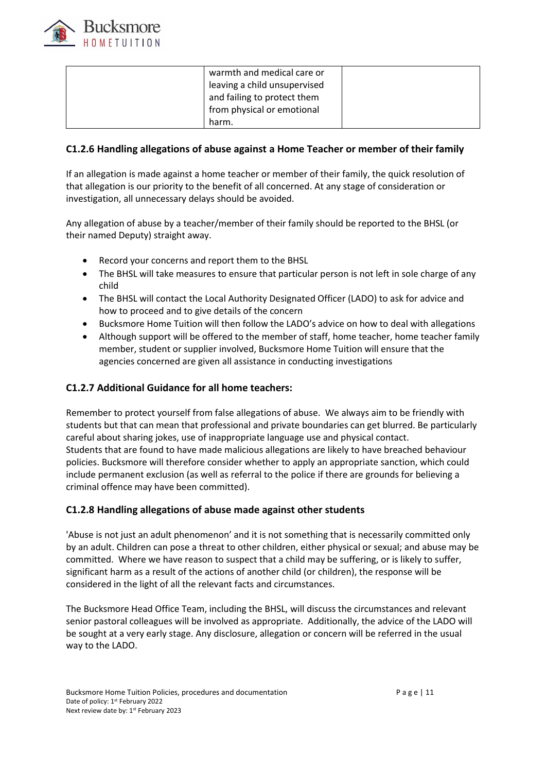

| warmth and medical care or   |  |
|------------------------------|--|
| leaving a child unsupervised |  |
| and failing to protect them  |  |
| from physical or emotional   |  |
| harm.                        |  |

### **C1.2.6 Handling allegations of abuse against a Home Teacher or member of their family**

If an allegation is made against a home teacher or member of their family, the quick resolution of that allegation is our priority to the benefit of all concerned. At any stage of consideration or investigation, all unnecessary delays should be avoided.

Any allegation of abuse by a teacher/member of their family should be reported to the BHSL (or their named Deputy) straight away.

- Record your concerns and report them to the BHSL
- The BHSL will take measures to ensure that particular person is not left in sole charge of any child
- The BHSL will contact the Local Authority Designated Officer (LADO) to ask for advice and how to proceed and to give details of the concern
- Bucksmore Home Tuition will then follow the LADO's advice on how to deal with allegations
- Although support will be offered to the member of staff, home teacher, home teacher family member, student or supplier involved, Bucksmore Home Tuition will ensure that the agencies concerned are given all assistance in conducting investigations

### **C1.2.7 Additional Guidance for all home teachers:**

Remember to protect yourself from false allegations of abuse. We always aim to be friendly with students but that can mean that professional and private boundaries can get blurred. Be particularly careful about sharing jokes, use of inappropriate language use and physical contact. Students that are found to have made malicious allegations are likely to have breached behaviour policies. Bucksmore will therefore consider whether to apply an appropriate sanction, which could include permanent exclusion (as well as referral to the police if there are grounds for believing a criminal offence may have been committed).

### **C1.2.8 Handling allegations of abuse made against other students**

'Abuse is not just an adult phenomenon' and it is not something that is necessarily committed only by an adult. Children can pose a threat to other children, either physical or sexual; and abuse may be committed. Where we have reason to suspect that a child may be suffering, or is likely to suffer, significant harm as a result of the actions of another child (or children), the response will be considered in the light of all the relevant facts and circumstances.

The Bucksmore Head Office Team, including the BHSL, will discuss the circumstances and relevant senior pastoral colleagues will be involved as appropriate. Additionally, the advice of the LADO will be sought at a very early stage. Any disclosure, allegation or concern will be referred in the usual way to the LADO.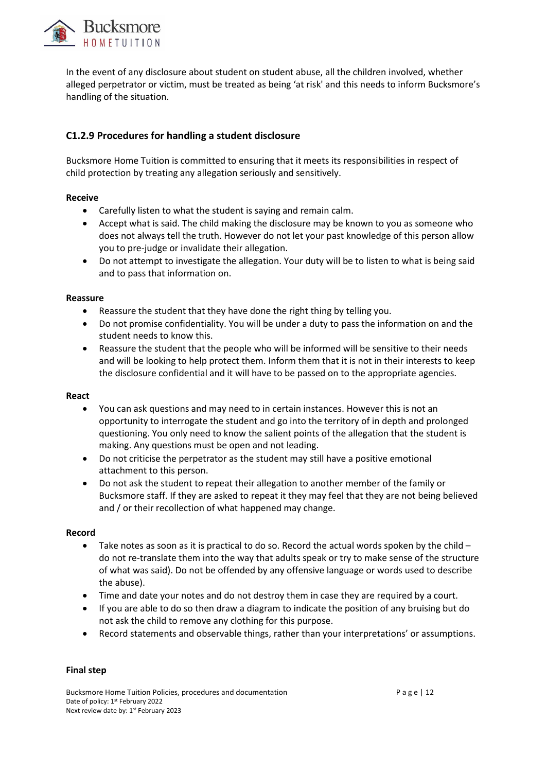

In the event of any disclosure about student on student abuse, all the children involved, whether alleged perpetrator or victim, must be treated as being 'at risk' and this needs to inform Bucksmore's handling of the situation.

# **C1.2.9 Procedures for handling a student disclosure**

Bucksmore Home Tuition is committed to ensuring that it meets its responsibilities in respect of child protection by treating any allegation seriously and sensitively.

#### **Receive**

- Carefully listen to what the student is saying and remain calm.
- Accept what is said. The child making the disclosure may be known to you as someone who does not always tell the truth. However do not let your past knowledge of this person allow you to pre-judge or invalidate their allegation.
- Do not attempt to investigate the allegation. Your duty will be to listen to what is being said and to pass that information on.

#### **Reassure**

- Reassure the student that they have done the right thing by telling you.
- Do not promise confidentiality. You will be under a duty to pass the information on and the student needs to know this.
- Reassure the student that the people who will be informed will be sensitive to their needs and will be looking to help protect them. Inform them that it is not in their interests to keep the disclosure confidential and it will have to be passed on to the appropriate agencies.

#### **React**

- You can ask questions and may need to in certain instances. However this is not an opportunity to interrogate the student and go into the territory of in depth and prolonged questioning. You only need to know the salient points of the allegation that the student is making. Any questions must be open and not leading.
- Do not criticise the perpetrator as the student may still have a positive emotional attachment to this person.
- Do not ask the student to repeat their allegation to another member of the family or Bucksmore staff. If they are asked to repeat it they may feel that they are not being believed and / or their recollection of what happened may change.

#### **Record**

- Take notes as soon as it is practical to do so. Record the actual words spoken by the child  $$ do not re-translate them into the way that adults speak or try to make sense of the structure of what was said). Do not be offended by any offensive language or words used to describe the abuse).
- Time and date your notes and do not destroy them in case they are required by a court.
- If you are able to do so then draw a diagram to indicate the position of any bruising but do not ask the child to remove any clothing for this purpose.
- Record statements and observable things, rather than your interpretations' or assumptions.

#### **Final step**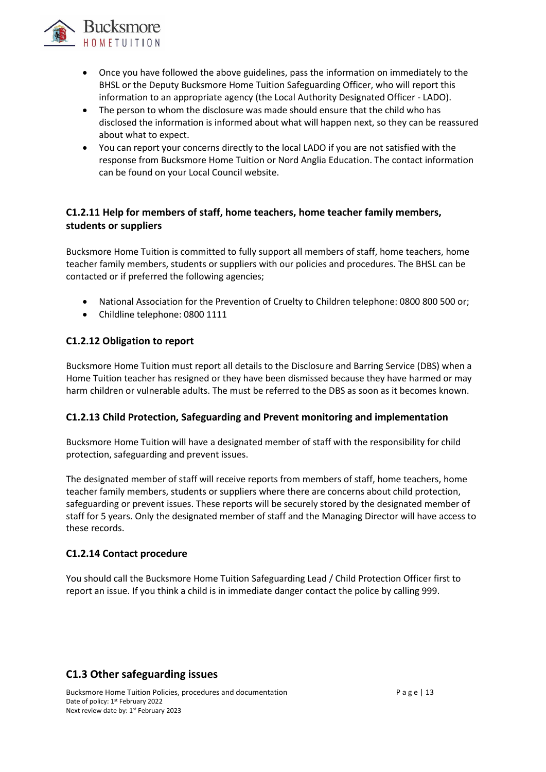

- Once you have followed the above guidelines, pass the information on immediately to the BHSL or the Deputy Bucksmore Home Tuition Safeguarding Officer, who will report this information to an appropriate agency (the Local Authority Designated Officer - LADO).
- The person to whom the disclosure was made should ensure that the child who has disclosed the information is informed about what will happen next, so they can be reassured about what to expect.
- You can report your concerns directly to the local LADO if you are not satisfied with the response from Bucksmore Home Tuition or Nord Anglia Education. The contact information can be found on your Local Council website.

# **C1.2.11 Help for members of staff, home teachers, home teacher family members, students or suppliers**

Bucksmore Home Tuition is committed to fully support all members of staff, home teachers, home teacher family members, students or suppliers with our policies and procedures. The BHSL can be contacted or if preferred the following agencies;

- National Association for the Prevention of Cruelty to Children telephone: 0800 800 500 or;
- Childline telephone: 0800 1111

### **C1.2.12 Obligation to report**

Bucksmore Home Tuition must report all details to the Disclosure and Barring Service (DBS) when a Home Tuition teacher has resigned or they have been dismissed because they have harmed or may harm children or vulnerable adults. The must be referred to the DBS as soon as it becomes known.

### **C1.2.13 Child Protection, Safeguarding and Prevent monitoring and implementation**

Bucksmore Home Tuition will have a designated member of staff with the responsibility for child protection, safeguarding and prevent issues.

The designated member of staff will receive reports from members of staff, home teachers, home teacher family members, students or suppliers where there are concerns about child protection, safeguarding or prevent issues. These reports will be securely stored by the designated member of staff for 5 years. Only the designated member of staff and the Managing Director will have access to these records.

### **C1.2.14 Contact procedure**

You should call the Bucksmore Home Tuition Safeguarding Lead / Child Protection Officer first to report an issue. If you think a child is in immediate danger contact the police by calling 999.

# **C1.3 Other safeguarding issues**

Bucksmore Home Tuition Policies, procedures and documentation **Page | 13** Page | 13 Date of policy: 1<sup>st</sup> February 2022 Next review date by: 1st February 2023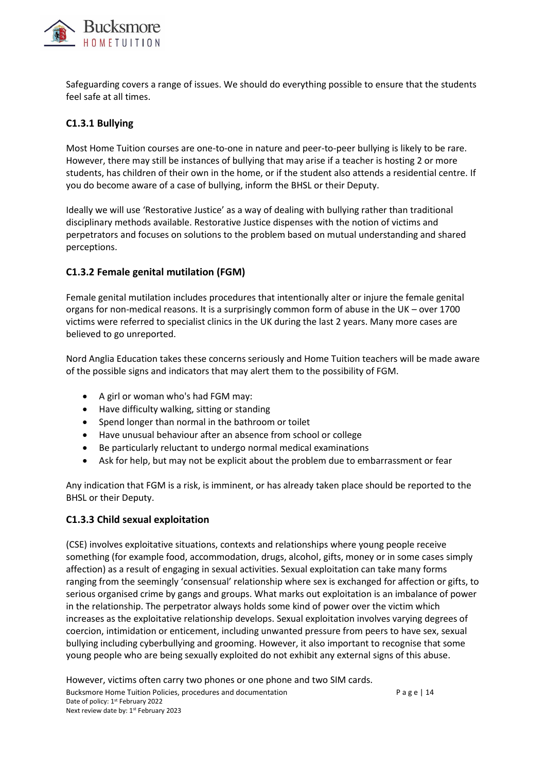

Safeguarding covers a range of issues. We should do everything possible to ensure that the students feel safe at all times.

### **C1.3.1 Bullying**

Most Home Tuition courses are one-to-one in nature and peer-to-peer bullying is likely to be rare. However, there may still be instances of bullying that may arise if a teacher is hosting 2 or more students, has children of their own in the home, or if the student also attends a residential centre. If you do become aware of a case of bullying, inform the BHSL or their Deputy.

Ideally we will use 'Restorative Justice' as a way of dealing with bullying rather than traditional disciplinary methods available. Restorative Justice dispenses with the notion of victims and perpetrators and focuses on solutions to the problem based on mutual understanding and shared perceptions.

### **C1.3.2 Female genital mutilation (FGM)**

Female genital mutilation includes procedures that intentionally alter or injure the female genital organs for non-medical reasons. It is a surprisingly common form of abuse in the UK – over 1700 victims were referred to specialist clinics in the UK during the last 2 years. Many more cases are believed to go unreported.

Nord Anglia Education takes these concerns seriously and Home Tuition teachers will be made aware of the possible signs and indicators that may alert them to the possibility of FGM.

- A girl or woman who's had FGM may:
- Have difficulty walking, sitting or standing
- Spend longer than normal in the bathroom or toilet
- Have unusual behaviour after an absence from school or college
- Be particularly reluctant to undergo normal medical examinations
- Ask for help, but may not be explicit about the problem due to embarrassment or fear

Any indication that FGM is a risk, is imminent, or has already taken place should be reported to the BHSL or their Deputy.

### **C1.3.3 Child sexual exploitation**

(CSE) involves exploitative situations, contexts and relationships where young people receive something (for example food, accommodation, drugs, alcohol, gifts, money or in some cases simply affection) as a result of engaging in sexual activities. Sexual exploitation can take many forms ranging from the seemingly 'consensual' relationship where sex is exchanged for affection or gifts, to serious organised crime by gangs and groups. What marks out exploitation is an imbalance of power in the relationship. The perpetrator always holds some kind of power over the victim which increases as the exploitative relationship develops. Sexual exploitation involves varying degrees of coercion, intimidation or enticement, including unwanted pressure from peers to have sex, sexual bullying including cyberbullying and grooming. However, it also important to recognise that some young people who are being sexually exploited do not exhibit any external signs of this abuse.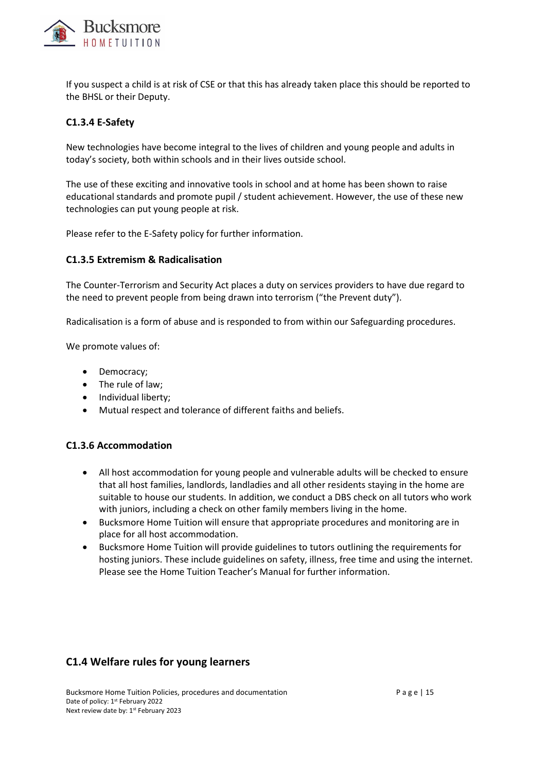

If you suspect a child is at risk of CSE or that this has already taken place this should be reported to the BHSL or their Deputy.

### **C1.3.4 E-Safety**

New technologies have become integral to the lives of children and young people and adults in today's society, both within schools and in their lives outside school.

The use of these exciting and innovative tools in school and at home has been shown to raise educational standards and promote pupil / student achievement. However, the use of these new technologies can put young people at risk.

Please refer to the E-Safety policy for further information.

### **C1.3.5 Extremism & Radicalisation**

The Counter-Terrorism and Security Act places a duty on services providers to have due regard to the need to prevent people from being drawn into terrorism ("the Prevent duty").

Radicalisation is a form of abuse and is responded to from within our Safeguarding procedures.

We promote values of:

- Democracy;
- The rule of law;
- Individual liberty;
- Mutual respect and tolerance of different faiths and beliefs.

#### **C1.3.6 Accommodation**

- All host accommodation for young people and vulnerable adults will be checked to ensure that all host families, landlords, landladies and all other residents staying in the home are suitable to house our students. In addition, we conduct a DBS check on all tutors who work with juniors, including a check on other family members living in the home.
- Bucksmore Home Tuition will ensure that appropriate procedures and monitoring are in place for all host accommodation.
- Bucksmore Home Tuition will provide guidelines to tutors outlining the requirements for hosting juniors. These include guidelines on safety, illness, free time and using the internet. Please see the Home Tuition Teacher's Manual for further information.

# **C1.4 Welfare rules for young learners**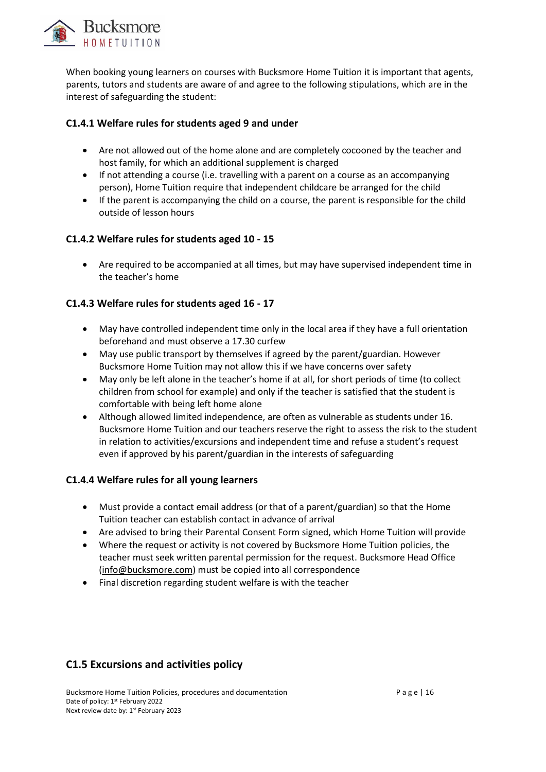

When booking young learners on courses with Bucksmore Home Tuition it is important that agents, parents, tutors and students are aware of and agree to the following stipulations, which are in the interest of safeguarding the student:

# **C1.4.1 Welfare rules for students aged 9 and under**

- Are not allowed out of the home alone and are completely cocooned by the teacher and host family, for which an additional supplement is charged
- If not attending a course (i.e. travelling with a parent on a course as an accompanying person), Home Tuition require that independent childcare be arranged for the child
- If the parent is accompanying the child on a course, the parent is responsible for the child outside of lesson hours

### **C1.4.2 Welfare rules for students aged 10 - 15**

• Are required to be accompanied at all times, but may have supervised independent time in the teacher's home

### **C1.4.3 Welfare rules for students aged 16 - 17**

- May have controlled independent time only in the local area if they have a full orientation beforehand and must observe a 17.30 curfew
- May use public transport by themselves if agreed by the parent/guardian. However Bucksmore Home Tuition may not allow this if we have concerns over safety
- May only be left alone in the teacher's home if at all, for short periods of time (to collect children from school for example) and only if the teacher is satisfied that the student is comfortable with being left home alone
- Although allowed limited independence, are often as vulnerable as students under 16. Bucksmore Home Tuition and our teachers reserve the right to assess the risk to the student in relation to activities/excursions and independent time and refuse a student's request even if approved by his parent/guardian in the interests of safeguarding

# **C1.4.4 Welfare rules for all young learners**

- Must provide a contact email address (or that of a parent/guardian) so that the Home Tuition teacher can establish contact in advance of arrival
- Are advised to bring their Parental Consent Form signed, which Home Tuition will provide
- Where the request or activity is not covered by Bucksmore Home Tuition policies, the teacher must seek written parental permission for the request. Bucksmore Head Office [\(info@bucksmore.com\)](mailto:info@bucksmore.com) must be copied into all correspondence
- Final discretion regarding student welfare is with the teacher

# **C1.5 Excursions and activities policy**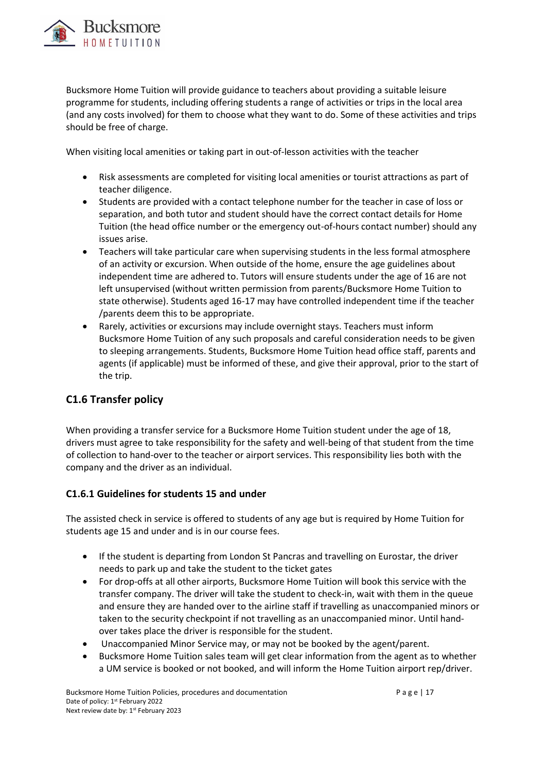

Bucksmore Home Tuition will provide guidance to teachers about providing a suitable leisure programme for students, including offering students a range of activities or trips in the local area (and any costs involved) for them to choose what they want to do. Some of these activities and trips should be free of charge.

When visiting local amenities or taking part in out-of-lesson activities with the teacher

- Risk assessments are completed for visiting local amenities or tourist attractions as part of teacher diligence.
- Students are provided with a contact telephone number for the teacher in case of loss or separation, and both tutor and student should have the correct contact details for Home Tuition (the head office number or the emergency out-of-hours contact number) should any issues arise.
- Teachers will take particular care when supervising students in the less formal atmosphere of an activity or excursion. When outside of the home, ensure the age guidelines about independent time are adhered to. Tutors will ensure students under the age of 16 are not left unsupervised (without written permission from parents/Bucksmore Home Tuition to state otherwise). Students aged 16-17 may have controlled independent time if the teacher /parents deem this to be appropriate.
- Rarely, activities or excursions may include overnight stays. Teachers must inform Bucksmore Home Tuition of any such proposals and careful consideration needs to be given to sleeping arrangements. Students, Bucksmore Home Tuition head office staff, parents and agents (if applicable) must be informed of these, and give their approval, prior to the start of the trip.

# **C1.6 Transfer policy**

When providing a transfer service for a Bucksmore Home Tuition student under the age of 18, drivers must agree to take responsibility for the safety and well-being of that student from the time of collection to hand-over to the teacher or airport services. This responsibility lies both with the company and the driver as an individual.

### **C1.6.1 Guidelines for students 15 and under**

The assisted check in service is offered to students of any age but is required by Home Tuition for students age 15 and under and is in our course fees.

- If the student is departing from London St Pancras and travelling on Eurostar, the driver needs to park up and take the student to the ticket gates
- For drop-offs at all other airports, Bucksmore Home Tuition will book this service with the transfer company. The driver will take the student to check-in, wait with them in the queue and ensure they are handed over to the airline staff if travelling as unaccompanied minors or taken to the security checkpoint if not travelling as an unaccompanied minor. Until handover takes place the driver is responsible for the student.
- Unaccompanied Minor Service may, or may not be booked by the agent/parent.
- Bucksmore Home Tuition sales team will get clear information from the agent as to whether a UM service is booked or not booked, and will inform the Home Tuition airport rep/driver.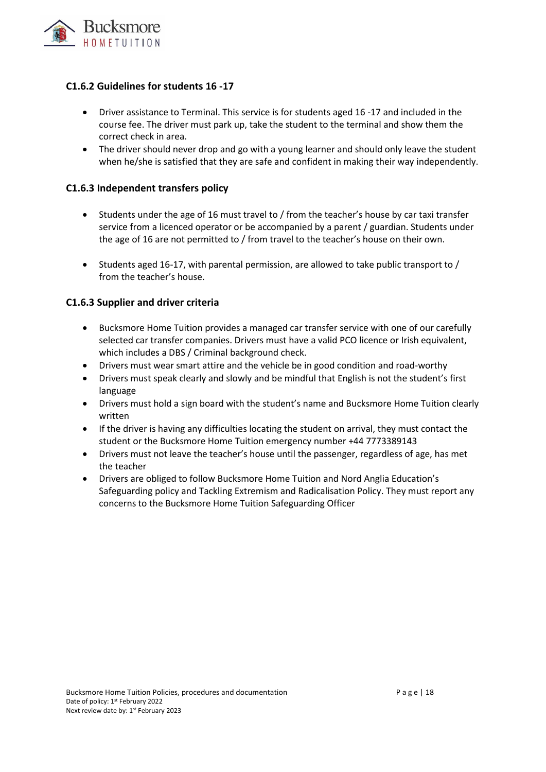

### **C1.6.2 Guidelines for students 16 -17**

- Driver assistance to Terminal. This service is for students aged 16 -17 and included in the course fee. The driver must park up, take the student to the terminal and show them the correct check in area.
- The driver should never drop and go with a young learner and should only leave the student when he/she is satisfied that they are safe and confident in making their way independently.

### **C1.6.3 Independent transfers policy**

- Students under the age of 16 must travel to / from the teacher's house by car taxi transfer service from a licenced operator or be accompanied by a parent / guardian. Students under the age of 16 are not permitted to / from travel to the teacher's house on their own.
- Students aged 16-17, with parental permission, are allowed to take public transport to / from the teacher's house.

### **C1.6.3 Supplier and driver criteria**

- Bucksmore Home Tuition provides a managed car transfer service with one of our carefully selected car transfer companies. Drivers must have a valid PCO licence or Irish equivalent, which includes a DBS / Criminal background check.
- Drivers must wear smart attire and the vehicle be in good condition and road-worthy
- Drivers must speak clearly and slowly and be mindful that English is not the student's first language
- Drivers must hold a sign board with the student's name and Bucksmore Home Tuition clearly written
- If the driver is having any difficulties locating the student on arrival, they must contact the student or the Bucksmore Home Tuition emergency number +44 7773389143
- Drivers must not leave the teacher's house until the passenger, regardless of age, has met the teacher
- Drivers are obliged to follow Bucksmore Home Tuition and Nord Anglia Education's Safeguarding policy and Tackling Extremism and Radicalisation Policy. They must report any concerns to the Bucksmore Home Tuition Safeguarding Officer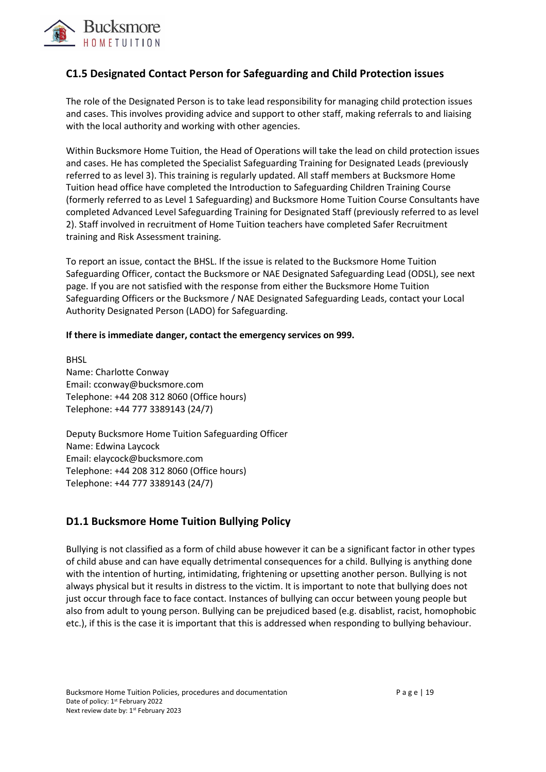

# **C1.5 Designated Contact Person for Safeguarding and Child Protection issues**

The role of the Designated Person is to take lead responsibility for managing child protection issues and cases. This involves providing advice and support to other staff, making referrals to and liaising with the local authority and working with other agencies.

Within Bucksmore Home Tuition, the Head of Operations will take the lead on child protection issues and cases. He has completed the Specialist Safeguarding Training for Designated Leads (previously referred to as level 3). This training is regularly updated. All staff members at Bucksmore Home Tuition head office have completed the Introduction to Safeguarding Children Training Course (formerly referred to as Level 1 Safeguarding) and Bucksmore Home Tuition Course Consultants have completed Advanced Level Safeguarding Training for Designated Staff (previously referred to as level 2). Staff involved in recruitment of Home Tuition teachers have completed Safer Recruitment training and Risk Assessment training.

To report an issue, contact the BHSL. If the issue is related to the Bucksmore Home Tuition Safeguarding Officer, contact the Bucksmore or NAE Designated Safeguarding Lead (ODSL), see next page. If you are not satisfied with the response from either the Bucksmore Home Tuition Safeguarding Officers or the Bucksmore / NAE Designated Safeguarding Leads, contact your Local Authority Designated Person (LADO) for Safeguarding.

#### **If there is immediate danger, contact the emergency services on 999.**

**BHSL** Name: Charlotte Conway Email: cconway@bucksmore.com Telephone: +44 208 312 8060 (Office hours) Telephone: +44 777 3389143 (24/7)

Deputy Bucksmore Home Tuition Safeguarding Officer Name: Edwina Laycock Email: elaycock@bucksmore.com Telephone: +44 208 312 8060 (Office hours) Telephone: +44 777 3389143 (24/7)

# **D1.1 Bucksmore Home Tuition Bullying Policy**

Bullying is not classified as a form of child abuse however it can be a significant factor in other types of child abuse and can have equally detrimental consequences for a child. Bullying is anything done with the intention of hurting, intimidating, frightening or upsetting another person. Bullying is not always physical but it results in distress to the victim. It is important to note that bullying does not just occur through face to face contact. Instances of bullying can occur between young people but also from adult to young person. Bullying can be prejudiced based (e.g. disablist, racist, homophobic etc.), if this is the case it is important that this is addressed when responding to bullying behaviour.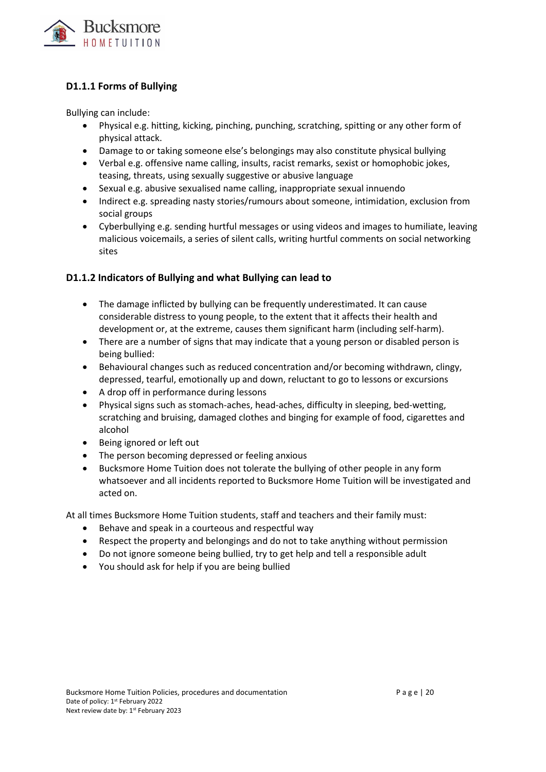

# **D1.1.1 Forms of Bullying**

Bullying can include:

- Physical e.g. hitting, kicking, pinching, punching, scratching, spitting or any other form of physical attack.
- Damage to or taking someone else's belongings may also constitute physical bullying
- Verbal e.g. offensive name calling, insults, racist remarks, sexist or homophobic jokes, teasing, threats, using sexually suggestive or abusive language
- Sexual e.g. abusive sexualised name calling, inappropriate sexual innuendo
- Indirect e.g. spreading nasty stories/rumours about someone, intimidation, exclusion from social groups
- Cyberbullying e.g. sending hurtful messages or using videos and images to humiliate, leaving malicious voicemails, a series of silent calls, writing hurtful comments on social networking sites

### **D1.1.2 Indicators of Bullying and what Bullying can lead to**

- The damage inflicted by bullying can be frequently underestimated. It can cause considerable distress to young people, to the extent that it affects their health and development or, at the extreme, causes them significant harm (including self-harm).
- There are a number of signs that may indicate that a young person or disabled person is being bullied:
- Behavioural changes such as reduced concentration and/or becoming withdrawn, clingy, depressed, tearful, emotionally up and down, reluctant to go to lessons or excursions
- A drop off in performance during lessons
- Physical signs such as stomach-aches, head-aches, difficulty in sleeping, bed-wetting, scratching and bruising, damaged clothes and binging for example of food, cigarettes and alcohol
- Being ignored or left out
- The person becoming depressed or feeling anxious
- Bucksmore Home Tuition does not tolerate the bullying of other people in any form whatsoever and all incidents reported to Bucksmore Home Tuition will be investigated and acted on.

At all times Bucksmore Home Tuition students, staff and teachers and their family must:

- Behave and speak in a courteous and respectful way
- Respect the property and belongings and do not to take anything without permission
- Do not ignore someone being bullied, try to get help and tell a responsible adult
- You should ask for help if you are being bullied